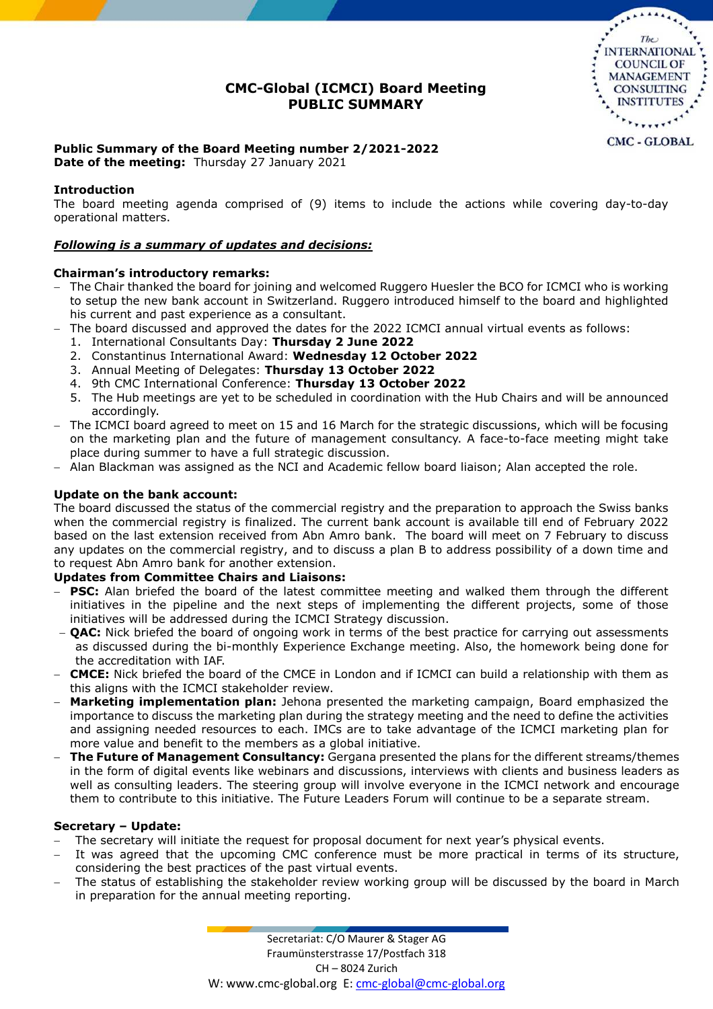## **CMC-Global (ICMCI) Board Meeting PUBLIC SUMMARY**



# **Public Summary of the Board Meeting number 2/2021-2022**

**Date of the meeting:** Thursday 27 January 2021

### **Introduction**

The board meeting agenda comprised of (9) items to include the actions while covering day-to-day operational matters.

#### *Following is a summary of updates and decisions:*

#### **Chairman's introductory remarks:**

- The Chair thanked the board for joining and welcomed Ruggero Huesler the BCO for ICMCI who is working to setup the new bank account in Switzerland. Ruggero introduced himself to the board and highlighted his current and past experience as a consultant.
- The board discussed and approved the dates for the 2022 ICMCI annual virtual events as follows:
	- 1. International Consultants Day: **Thursday 2 June 2022**
	- 2. Constantinus International Award: **Wednesday 12 October 2022**
	- 3. Annual Meeting of Delegates: **Thursday 13 October 2022**
	- 4. 9th CMC International Conference: **Thursday 13 October 2022**
	- 5. The Hub meetings are yet to be scheduled in coordination with the Hub Chairs and will be announced accordingly.
- The ICMCI board agreed to meet on 15 and 16 March for the strategic discussions, which will be focusing on the marketing plan and the future of management consultancy. A face-to-face meeting might take place during summer to have a full strategic discussion.
- Alan Blackman was assigned as the NCI and Academic fellow board liaison; Alan accepted the role.

#### **Update on the bank account:**

The board discussed the status of the commercial registry and the preparation to approach the Swiss banks when the commercial registry is finalized. The current bank account is available till end of February 2022 based on the last extension received from Abn Amro bank. The board will meet on 7 February to discuss any updates on the commercial registry, and to discuss a plan B to address possibility of a down time and to request Abn Amro bank for another extension.

#### **Updates from Committee Chairs and Liaisons:**

- **PSC:** Alan briefed the board of the latest committee meeting and walked them through the different initiatives in the pipeline and the next steps of implementing the different projects, some of those initiatives will be addressed during the ICMCI Strategy discussion.
- **QAC:** Nick briefed the board of ongoing work in terms of the best practice for carrying out assessments as discussed during the bi-monthly Experience Exchange meeting. Also, the homework being done for the accreditation with IAF.
- **CMCE:** Nick briefed the board of the CMCE in London and if ICMCI can build a relationship with them as this aligns with the ICMCI stakeholder review.
- **Marketing implementation plan:** Jehona presented the marketing campaign, Board emphasized the importance to discuss the marketing plan during the strategy meeting and the need to define the activities and assigning needed resources to each. IMCs are to take advantage of the ICMCI marketing plan for more value and benefit to the members as a global initiative.
- **The Future of Management Consultancy:** Gergana presented the plans for the different streams/themes in the form of digital events like webinars and discussions, interviews with clients and business leaders as well as consulting leaders. The steering group will involve everyone in the ICMCI network and encourage them to contribute to this initiative. The Future Leaders Forum will continue to be a separate stream.

#### **Secretary – Update:**

- The secretary will initiate the request for proposal document for next year's physical events.
- It was agreed that the upcoming CMC conference must be more practical in terms of its structure, considering the best practices of the past virtual events.
- The status of establishing the stakeholder review working group will be discussed by the board in March in preparation for the annual meeting reporting.